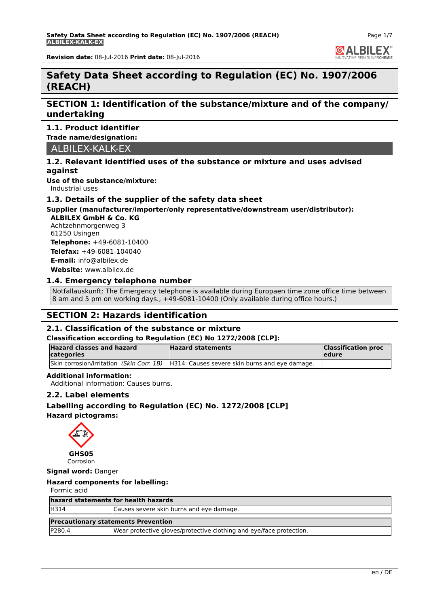**GALBILEX** 

**Revision date:** 08-Jul-2016 **Print date:** 08-Jul-2016

# **Safety Data Sheet according to Regulation (EC) No. 1907/2006 (REACH)**

# **SECTION 1: Identification of the substance/mixture and of the company/ undertaking**

#### **1.1. Product identifier**

**Trade name/designation:**

ALBILEX-KALK-EX

#### **1.2. Relevant identified uses of the substance or mixture and uses advised against**

**Use of the substance/mixture:**

Industrial uses

#### **1.3. Details of the supplier of the safety data sheet**

# **Supplier (manufacturer/importer/only representative/downstream user/distributor):**

**ALBILEX GmbH & Co. KG** Achtzehnmorgenweg 3 61250 Usingen **Telephone:** +49-6081-10400

**Telefax:** +49-6081-104040 **E-mail:** info@albilex.de

**Website:** www.albilex.de

# **1.4. Emergency telephone number**

Notfallauskunft: The Emergency telephone is available during Europaen time zone office time between 8 am and 5 pm on working days., +49-6081-10400 (Only available during office hours.)

# **SECTION 2: Hazards identification**

# **2.1. Classification of the substance or mixture**

#### **Classification according to Regulation (EC) No 1272/2008 [CLP]:**

| <b>Hazard classes and hazard</b><br>categories | <b>Hazard statements</b>                                                                     | <b>Classification proc</b><br><b>ledure</b> |
|------------------------------------------------|----------------------------------------------------------------------------------------------|---------------------------------------------|
|                                                | Skin corrosion/irritation (Skin Corr. 1B) $ H314$ : Causes severe skin burns and eye damage. |                                             |

#### **Additional information:**

Additional information: Causes burns.

#### **2.2. Label elements**

# **Labelling according to Regulation (EC) No. 1272/2008 [CLP] Hazard pictograms:**



**GHS05** Corrosion

**Signal word:** Danger

#### **Hazard components for labelling:**

Formic acid

**hazard statements for health hazards**

| H314 | Causes severe skin burns and eye damage. |
|------|------------------------------------------|
|      |                                          |

#### **Precautionary statements Prevention**

P280.4 Wear protective gloves/protective clothing and eye/face protection.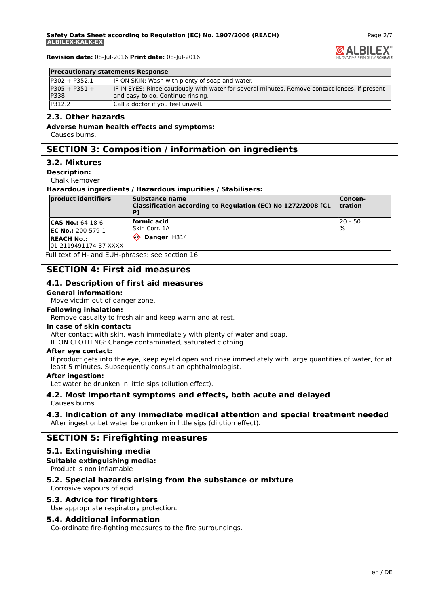Page 2/7 **GALBILEX** 

**Revision date:** 08-Jul-2016 **Print date:** 08-Jul-2016

#### **Precautionary statements Response**

| $IP302 + P352.1$               | IF ON SKIN: Wash with plenty of soap and water.                                                                                     |
|--------------------------------|-------------------------------------------------------------------------------------------------------------------------------------|
| $P305 + P351 +$<br><b>P338</b> | IF IN EYES: Rinse cautiously with water for several minutes. Remove contact lenses, if present<br>and easy to do. Continue rinsing. |
| P312.2                         | Call a doctor if you feel unwell.                                                                                                   |

# **2.3. Other hazards**

**Adverse human health effects and symptoms:**

Causes burns.

# **SECTION 3: Composition / information on ingredients**

#### **3.2. Mixtures**

**Description:**

Chalk Remover

#### **Hazardous ingredients / Hazardous impurities / Stabilisers:**

| <b>product identifiers</b> | Substance name<br>Classification according to Regulation (EC) No 1272/2008 [CL | Concen-<br><b>tration</b> |
|----------------------------|--------------------------------------------------------------------------------|---------------------------|
| $ CAS No.: 64-18-6$        | formic acid                                                                    | $ 20 - 50 $               |
| <b>IEC No.: 200-579-1</b>  | <b>Skin Corr. 1A</b>                                                           | $\frac{9}{6}$             |
| <b>REACH No.:</b>          | Danger H314<br>⇐                                                               |                           |
| 01-2119491174-37-XXXX      |                                                                                |                           |

Full text of H- and EUH-phrases: see section 16.

# **SECTION 4: First aid measures**

#### **4.1. Description of first aid measures**

#### **General information:**

Move victim out of danger zone.

#### **Following inhalation:**

Remove casualty to fresh air and keep warm and at rest.

#### **In case of skin contact:**

After contact with skin, wash immediately with plenty of water and soap.

IF ON CLOTHING: Change contaminated, saturated clothing.

#### **After eye contact:**

If product gets into the eye, keep eyelid open and rinse immediately with large quantities of water, for at least 5 minutes. Subsequently consult an ophthalmologist.

#### **After ingestion:**

Let water be drunken in little sips (dilution effect).

#### **4.2. Most important symptoms and effects, both acute and delayed** Causes burns.

#### **4.3. Indication of any immediate medical attention and special treatment needed** After ingestionLet water be drunken in little sips (dilution effect).

# **SECTION 5: Firefighting measures**

#### **5.1. Extinguishing media**

#### **Suitable extinguishing media:**

Product is non inflamable

#### **5.2. Special hazards arising from the substance or mixture** Corrosive vapours of acid.

#### **5.3. Advice for firefighters**

Use appropriate respiratory protection.

#### **5.4. Additional information**

Co-ordinate fire-fighting measures to the fire surroundings.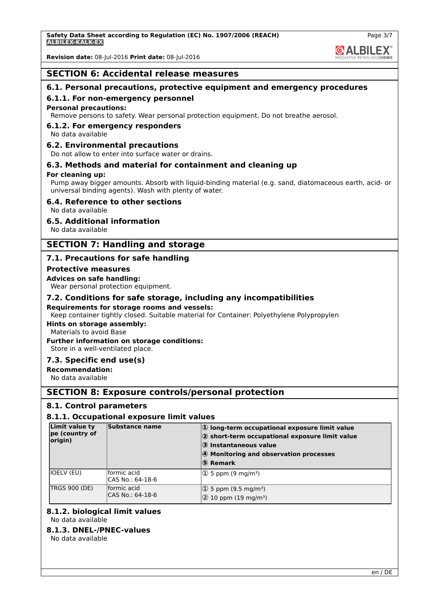

**Revision date:** 08-Jul-2016 **Print date:** 08-Jul-2016

# **SECTION 6: Accidental release measures**

# **6.1. Personal precautions, protective equipment and emergency procedures**

# **6.1.1. For non-emergency personnel**

# **Personal precautions:**

Remove persons to safety. Wear personal protection equipment. Do not breathe aerosol.

# **6.1.2. For emergency responders**

No data available

# **6.2. Environmental precautions**

Do not allow to enter into surface water or drains.

# **6.3. Methods and material for containment and cleaning up**

# **For cleaning up:**

Pump away bigger amounts. Absorb with liquid-binding material (e.g. sand, diatomaceous earth, acid- or universal binding agents). Wash with plenty of water.

#### **6.4. Reference to other sections**

No data available

#### **6.5. Additional information**

No data available

# **SECTION 7: Handling and storage**

# **7.1. Precautions for safe handling**

#### **Protective measures**

#### **Advices on safe handling:**

Wear personal protection equipment.

#### **7.2. Conditions for safe storage, including any incompatibilities**

#### **Requirements for storage rooms and vessels:**

Keep container tightly closed. Suitable material for Container: Polyethylene Polypropylen

#### **Hints on storage assembly:**

Materials to avoid Base

#### **Further information on storage conditions:**

Store in a well-ventilated place.

#### **7.3. Specific end use(s)**

# **Recommendation:**

No data available

# **SECTION 8: Exposure controls/personal protection**

#### **8.1. Control parameters**

#### **8.1.1. Occupational exposure limit values**

| Limit value ty<br>pe (country of<br>origin) | Substance name                  | $ 0\rangle$ long-term occupational exposure limit value<br>$ 2$ short-term occupational exposure limit value<br>3 Instantaneous value<br>4 Monitoring and observation processes<br>5 Remark |
|---------------------------------------------|---------------------------------|---------------------------------------------------------------------------------------------------------------------------------------------------------------------------------------------|
| IOELV (EU)                                  | formic acid<br>CAS No.: 64-18-6 | $ 1 \tImes 5$ ppm (9 mg/m <sup>3</sup> )                                                                                                                                                    |
| <b>TRGS 900 (DE)</b>                        | formic acid<br>CAS No.: 64-18-6 | $ 1 \tImes 5$ ppm (9.5 mg/m <sup>3</sup> )<br>$ 2$ 10 ppm (19 mg/m <sup>3</sup> )                                                                                                           |

#### **8.1.2. biological limit values**

No data available

# **8.1.3. DNEL-/PNEC-values**

No data available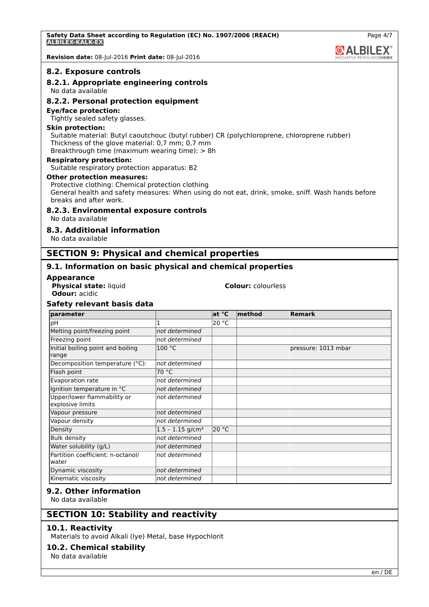**Revision date:** 08-Jul-2016 **Print date:** 08-Jul-2016

#### **8.2. Exposure controls**

# **8.2.1. Appropriate engineering controls**

No data available

#### **8.2.2. Personal protection equipment**

#### **Eye/face protection:**

Tightly sealed safety glasses.

#### **Skin protection:**

Suitable material: Butyl caoutchouc (butyl rubber) CR (polychloroprene, chloroprene rubber) Thickness of the glove material: 0,7 mm; 0,7 mm

Breakthrough time (maximum wearing time): > 8h

#### **Respiratory protection:**

Suitable respiratory protection apparatus: B2

#### **Other protection measures:**

Protective clothing: Chemical protection clothing General health and safety measures: When using do not eat, drink, smoke, sniff. Wash hands before breaks and after work.

#### **8.2.3. Environmental exposure controls**

No data available

#### **8.3. Additional information**

No data available

# **SECTION 9: Physical and chemical properties**

#### **9.1. Information on basic physical and chemical properties**

#### **Appearance**

**Physical state:** liquid **Colour:** colourless **Odour:** acidic

**Safety relevant basis data**

| parameter                                       |                                | at °C | $ $ method | <b>Remark</b>       |
|-------------------------------------------------|--------------------------------|-------|------------|---------------------|
| рH                                              | 1                              | 20 °C |            |                     |
| Melting point/freezing point                    | not determined                 |       |            |                     |
| Freezing point                                  | not determined                 |       |            |                     |
| Initial boiling point and boiling<br>range      | 100 °C                         |       |            | pressure: 1013 mbar |
| Decomposition temperature (°C):                 | not determined                 |       |            |                     |
| Flash point                                     | 70 °C                          |       |            |                     |
| Evaporation rate                                | not determined                 |       |            |                     |
| Ignition temperature in °C                      | not determined                 |       |            |                     |
| Upper/lower flammability or<br>explosive limits | not determined                 |       |            |                     |
| Vapour pressure                                 | not determined                 |       |            |                     |
| Vapour density                                  | not determined                 |       |            |                     |
| Density                                         | $1.5 - 1.15$ g/cm <sup>3</sup> | 20 °C |            |                     |
| <b>Bulk density</b>                             | not determined                 |       |            |                     |
| Water solubility (g/L)                          | not determined                 |       |            |                     |
| Partition coefficient: n-octanol/<br>water      | not determined                 |       |            |                     |
| Dynamic viscosity                               | not determined                 |       |            |                     |
| Kinematic viscosity                             | not determined                 |       |            |                     |

### **9.2. Other information**

No data available

#### **SECTION 10: Stability and reactivity**

#### **10.1. Reactivity**

Materials to avoid Alkali (lye) Metal, base Hypochlorit

# **10.2. Chemical stability**

No data available

**@ALBILEX**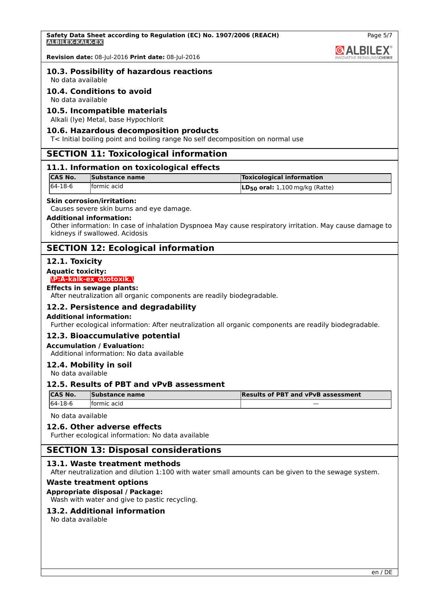

**Revision date:** 08-Jul-2016 **Print date:** 08-Jul-2016

#### **10.3. Possibility of hazardous reactions**

No data available

#### **10.4. Conditions to avoid**

No data available

#### **10.5. Incompatible materials**

Alkali (lye) Metal, base Hypochlorit

#### **10.6. Hazardous decomposition products**

T< Initial boiling point and boiling range No self decomposition on normal use

#### **SECTION 11: Toxicological information**

#### **11.1. Information on toxicological effects**

| <b>CAS No.</b> | Substance name | <b>Toxicological information</b>             |
|----------------|----------------|----------------------------------------------|
| 64-18-6        | formic acid    | $\mathsf{LD}_{50}$ oral: 1,100 mg/kg (Ratte) |

#### **Skin corrosion/irritation:**

Causes severe skin burns and eye damage.

#### **Additional information:**

Other information: In case of inhalation Dyspnoea May cause respiratory irritation. May cause damage to kidneys if swallowed. Acidosis

# **SECTION 12: Ecological information**

#### **12.1. Toxicity**

**Aquatic toxicity:**

#### **\P:A-kalk-ex\_ökotoxik.\**

#### **Effects in sewage plants:**

After neutralization all organic components are readily biodegradable.

#### **12.2. Persistence and degradability**

#### **Additional information:**

Further ecological information: After neutralization all organic components are readily biodegradable.

#### **12.3. Bioaccumulative potential**

#### **Accumulation / Evaluation:**

Additional information: No data available

#### **12.4. Mobility in soil**

No data available

#### **12.5. Results of PBT and vPvB assessment**

| <b>ICAS No.</b> | Substance name | <b>Results of PBT and vPvB assessment</b> |
|-----------------|----------------|-------------------------------------------|
| 64-18-6         | formic acid    |                                           |

No data available

#### **12.6. Other adverse effects**

Further ecological information: No data available

#### **SECTION 13: Disposal considerations**

#### **13.1. Waste treatment methods**

After neutralization and dilution 1:100 with water small amounts can be given to the sewage system.

#### **Waste treatment options**

#### **Appropriate disposal / Package:**

Wash with water and give to pastic recycling.

#### **13.2. Additional information**

No data available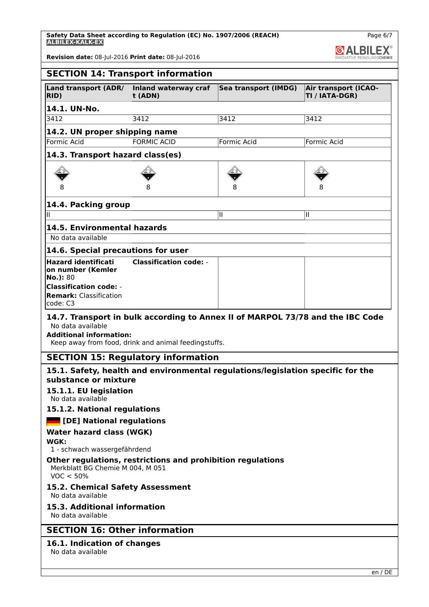**Safety Data Sheet according to Regulation (EC) No. 1907/2006 (REACH) ALBILEX-KALK-EX**



**Revision date:** 08-Jul-2016 **Print date:** 08-Jul-2016

|                                                                                                                                           | <b>SECTION 14: Transport information</b>                    |                                                                                 |                                               |
|-------------------------------------------------------------------------------------------------------------------------------------------|-------------------------------------------------------------|---------------------------------------------------------------------------------|-----------------------------------------------|
| Land transport (ADR/<br>RID)                                                                                                              | Inland waterway craf<br>t (ADN)                             | Sea transport (IMDG)                                                            | <b>Air transport (ICAO-</b><br>TI / IATA-DGR) |
| 14.1. UN-No.                                                                                                                              |                                                             |                                                                                 |                                               |
| 3412                                                                                                                                      | 3412                                                        | 3412                                                                            | 3412                                          |
| 14.2. UN proper shipping name                                                                                                             |                                                             |                                                                                 |                                               |
| <b>Formic Acid</b>                                                                                                                        | <b>FORMIC ACID</b>                                          | Formic Acid                                                                     | Formic Acid                                   |
| 14.3. Transport hazard class(es)                                                                                                          |                                                             |                                                                                 |                                               |
|                                                                                                                                           |                                                             |                                                                                 |                                               |
|                                                                                                                                           |                                                             |                                                                                 |                                               |
| 14.4. Packing group                                                                                                                       |                                                             |                                                                                 |                                               |
| Ш                                                                                                                                         |                                                             | II                                                                              | Ш                                             |
| 14.5. Environmental hazards                                                                                                               |                                                             |                                                                                 |                                               |
| No data available                                                                                                                         |                                                             |                                                                                 |                                               |
| 14.6. Special precautions for user                                                                                                        |                                                             |                                                                                 |                                               |
| <b>Hazard identificati</b><br>on number (Kemler<br>No.): 80<br><b>Classification code: -</b><br><b>Remark: Classification</b><br>code: C3 | <b>Classification code: -</b>                               |                                                                                 |                                               |
| No data available<br><b>Additional information:</b>                                                                                       | Keep away from food, drink and animal feedingstuffs.        | 14.7. Transport in bulk according to Annex II of MARPOL 73/78 and the IBC Code  |                                               |
|                                                                                                                                           | <b>SECTION 15: Regulatory information</b>                   |                                                                                 |                                               |
| substance or mixture                                                                                                                      |                                                             | 15.1. Safety, health and environmental regulations/legislation specific for the |                                               |
| 15.1.1. EU legislation<br>No data available                                                                                               |                                                             |                                                                                 |                                               |
| 15.1.2. National regulations                                                                                                              |                                                             |                                                                                 |                                               |
| <b>DE</b> [DE] National regulations                                                                                                       |                                                             |                                                                                 |                                               |
| Water hazard class (WGK)                                                                                                                  |                                                             |                                                                                 |                                               |
| WGK:<br>1 - schwach wassergefährdend                                                                                                      |                                                             |                                                                                 |                                               |
| Merkblatt BG Chemie M 004, M 051<br>VOC < 50%                                                                                             | Other regulations, restrictions and prohibition regulations |                                                                                 |                                               |
| 15.2. Chemical Safety Assessment<br>No data available                                                                                     |                                                             |                                                                                 |                                               |
| 15.3. Additional information<br>No data available                                                                                         |                                                             |                                                                                 |                                               |
| SECTION 16. Other information                                                                                                             |                                                             |                                                                                 |                                               |

# **SECTION 16: Other information**

#### **16.1. Indication of changes**

No data available

Page 6/7